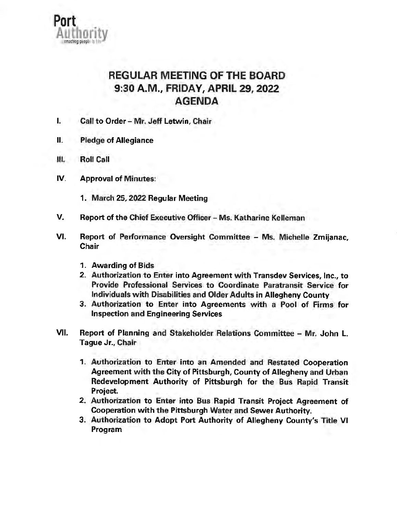

## REGULAR MEETING OF THE BOARD 9:30 **A.M.,** FRIDAY, APRIL 29, 2022 AGENDA

- I. Call to Order Mr. Jeff Letwin, Chair
- II. Pledge of Allegiance
- Ill. Roll Call
- IV. Approval of Minutes:
	- 1. March 25, 2022 Regular Meeting
- V. Report of the Chief Executive Officer Ms. Katharine Kelleman
- VI. Report of Performance Oversight Committee Ms. Michelle Zmijanac, **Chair** 
	- 1. Awarding of Bids
	- 2. Authorization to Enter into Agreement with Transdev Services, Inc., to Provide Professional Services to Coordinate Paratransit Service for Individuals with Disabilities and Older Adults in Allegheny County
	- 3. Authorization to Enter into Agreements with a Pool of Firms for Inspection and Engineering Services
- VII. Report of Planning and Stakeholder Relations Committee Mr. John L. Tague Jr., Chair
	- 1. Authorization to Enter into an Amended and Restated Cooperation Agreement with the City of Pittsburgh, County of Allegheny and Urban Redevelopment Authority of Pittsburgh for the Bus Rapid Transit Project.
	- 2. Authorization to Enter into Bus Rapid Transit Project Agreement of Cooperation with the Pittsburgh Water and Sewer Authority.
	- 3. Authorization to Adopt Port Authority of Allegheny County's Title VI Program